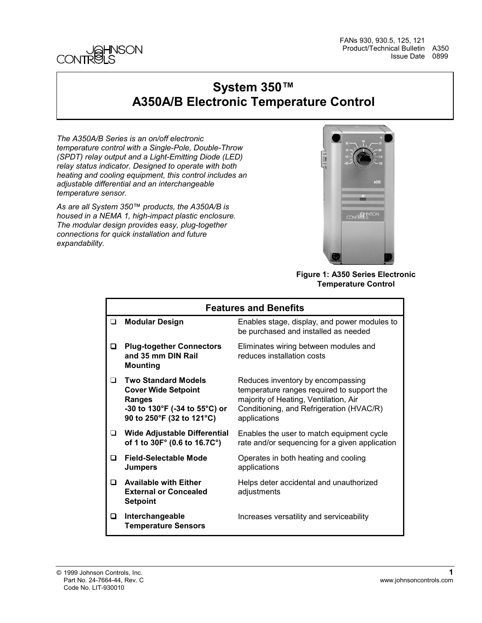

FANs 930, 930.5, 125, 121 Product/Technical Bulletin A350 Issue Date 0899

### **System 350™ A350A/B Electronic Temperature Control**

*The A350A/B Series is an on/off electronic temperature control with a Single-Pole, Double-Throw (SPDT) relay output and a Light-Emitting Diode (LED) relay status indicator. Designed to operate with both heating and cooling equipment, this control includes an adjustable differential and an interchangeable temperature sensor.*

*As are all System 350™ products, the A350A/B is housed in a NEMA 1, high-impact plastic enclosure. The modular design provides easy, plug-together connections for quick installation and future expandability.*



**Figure 1: A350 Series Electronic Temperature Control**

|        | <b>Features and Benefits</b>                                                                                                            |                                                                                                                                                                                      |  |  |
|--------|-----------------------------------------------------------------------------------------------------------------------------------------|--------------------------------------------------------------------------------------------------------------------------------------------------------------------------------------|--|--|
| ❏      | <b>Modular Design</b>                                                                                                                   | Enables stage, display, and power modules to<br>be purchased and installed as needed                                                                                                 |  |  |
| o      | <b>Plug-together Connectors</b><br>and 35 mm DIN Rail<br><b>Mounting</b>                                                                | Eliminates wiring between modules and<br>reduces installation costs                                                                                                                  |  |  |
| $\Box$ | <b>Two Standard Models</b><br><b>Cover Wide Setpoint</b><br><b>Ranges</b><br>-30 to 130°F (-34 to 55°C) or<br>90 to 250°F (32 to 121°C) | Reduces inventory by encompassing<br>temperature ranges required to support the<br>majority of Heating, Ventilation, Air<br>Conditioning, and Refrigeration (HVAC/R)<br>applications |  |  |
| $\Box$ | <b>Wide Adjustable Differential</b><br>of 1 to 30F° (0.6 to 16.7C°)                                                                     | Enables the user to match equipment cycle<br>rate and/or sequencing for a given application                                                                                          |  |  |
| n      | Field-Selectable Mode<br><b>Jumpers</b>                                                                                                 | Operates in both heating and cooling<br>applications                                                                                                                                 |  |  |
| ◘      | <b>Available with Either</b><br><b>External or Concealed</b><br><b>Setpoint</b>                                                         | Helps deter accidental and unauthorized<br>adjustments                                                                                                                               |  |  |
| o      | Interchangeable<br><b>Temperature Sensors</b>                                                                                           | Increases versatility and serviceability                                                                                                                                             |  |  |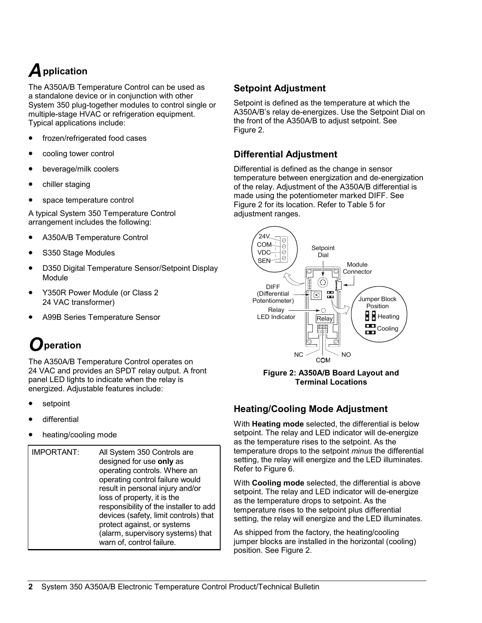# *A***pplication**

The A350A/B Temperature Control can be used as a standalone device or in conjunction with other System 350 plug-together modules to control single or multiple-stage HVAC or refrigeration equipment. Typical applications include:

- frozen/refrigerated food cases
- cooling tower control
- beverage/milk coolers
- chiller staging
- space temperature control

A typical System 350 Temperature Control arrangement includes the following:

- A350A/B Temperature Control
- S350 Stage Modules
- D350 Digital Temperature Sensor/Setpoint Display Module
- Y350R Power Module (or Class 2 24 VAC transformer)
- A99B Series Temperature Sensor

## *O***peration**

The A350A/B Temperature Control operates on 24 VAC and provides an SPDT relay output. A front panel LED lights to indicate when the relay is energized. Adjustable features include:

- **setpoint**
- differential
- heating/cooling mode
- IMPORTANT: All System 350 Controls are designed for use **only** as operating controls. Where an operating control failure would result in personal injury and/or loss of property, it is the responsibility of the installer to add devices (safety, limit controls) that protect against, or systems (alarm, supervisory systems) that warn of, control failure.

#### **Setpoint Adjustment**

Setpoint is defined as the temperature at which the A350A/B's relay de-energizes. Use the Setpoint Dial on the front of the A350A/B to adjust setpoint. See Figure 2.

#### **Differential Adjustment**

Differential is defined as the change in sensor temperature between energization and de-energization of the relay. Adjustment of the A350A/B differential is made using the potentiometer marked DIFF. See Figure 2 for its location. Refer to Table 5 for adjustment ranges.



**Figure 2: A350A/B Board Layout and Terminal Locations**

#### **Heating/Cooling Mode Adjustment**

With **Heating mode** selected, the differential is below setpoint. The relay and LED indicator will de-energize as the temperature rises to the setpoint. As the temperature drops to the setpoint *minus* the differential setting, the relay will energize and the LED illuminates. Refer to Figure 6.

With **Cooling mode** selected, the differential is above setpoint. The relay and LED indicator will de-energize as the temperature drops to setpoint. As the temperature rises to the setpoint plus differential setting, the relay will energize and the LED illuminates.

As shipped from the factory, the heating/cooling jumper blocks are installed in the horizontal (cooling) position. See Figure 2.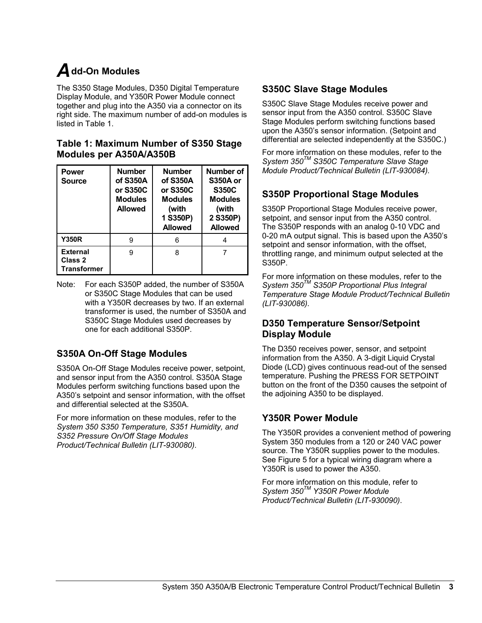# *A***dd-On Modules**

The S350 Stage Modules, D350 Digital Temperature Display Module, and Y350R Power Module connect together and plug into the A350 via a connector on its right side. The maximum number of add-on modules is listed in Table 1.

#### **Table 1: Maximum Number of S350 Stage Modules per A350A/A350B**

| <b>Power</b><br><b>Source</b>                    | <b>Number</b><br>of S350A<br>or S350C<br><b>Modules</b><br><b>Allowed</b> | <b>Number</b><br>of S350A<br>or S350C<br><b>Modules</b><br>(with<br>1 S350P)<br><b>Allowed</b> | Number of<br><b>S350A or</b><br><b>S350C</b><br><b>Modules</b><br>(with<br>2 S350P)<br><b>Allowed</b> |
|--------------------------------------------------|---------------------------------------------------------------------------|------------------------------------------------------------------------------------------------|-------------------------------------------------------------------------------------------------------|
| <b>Y350R</b>                                     | 9                                                                         | 6                                                                                              |                                                                                                       |
| <b>External</b><br>Class 2<br><b>Transformer</b> | 9                                                                         | 8                                                                                              |                                                                                                       |

Note: For each S350P added, the number of S350A or S350C Stage Modules that can be used with a Y350R decreases by two. If an external transformer is used, the number of S350A and S350C Stage Modules used decreases by one for each additional S350P.

#### **S350A On-Off Stage Modules**

S350A On-Off Stage Modules receive power, setpoint, and sensor input from the A350 control. S350A Stage Modules perform switching functions based upon the A350's setpoint and sensor information, with the offset and differential selected at the S350A.

For more information on these modules, refer to the *System 350 S350 Temperature, S351 Humidity, and S352 Pressure On/Off Stage Modules Product/Technical Bulletin (LIT-930080).*

#### **S350C Slave Stage Modules**

S350C Slave Stage Modules receive power and sensor input from the A350 control. S350C Slave Stage Modules perform switching functions based upon the A350's sensor information. (Setpoint and differential are selected independently at the S350C.)

For more information on these modules, refer to the *System 350TM S350C Temperature Slave Stage Module Product/Technical Bulletin (LIT-930084).*

#### **S350P Proportional Stage Modules**

S350P Proportional Stage Modules receive power, setpoint, and sensor input from the A350 control. The S350P responds with an analog 0-10 VDC and 0-20 mA output signal. This is based upon the A350's setpoint and sensor information, with the offset, throttling range, and minimum output selected at the S350P.

For more information on these modules, refer to the *System 350TM S350P Proportional Plus Integral Temperature Stage Module Product/Technical Bulletin (LIT-930086).*

#### **D350 Temperature Sensor/Setpoint Display Module**

The D350 receives power, sensor, and setpoint information from the A350. A 3-digit Liquid Crystal Diode (LCD) gives continuous read-out of the sensed temperature. Pushing the PRESS FOR SETPOINT button on the front of the D350 causes the setpoint of the adjoining A350 to be displayed.

#### **Y350R Power Module**

The Y350R provides a convenient method of powering System 350 modules from a 120 or 240 VAC power source. The Y350R supplies power to the modules. See Figure 5 for a typical wiring diagram where a Y350R is used to power the A350.

For more information on this module, refer to *System 350TM Y350R Power Module Product/Technical Bulletin (LIT-930090)*.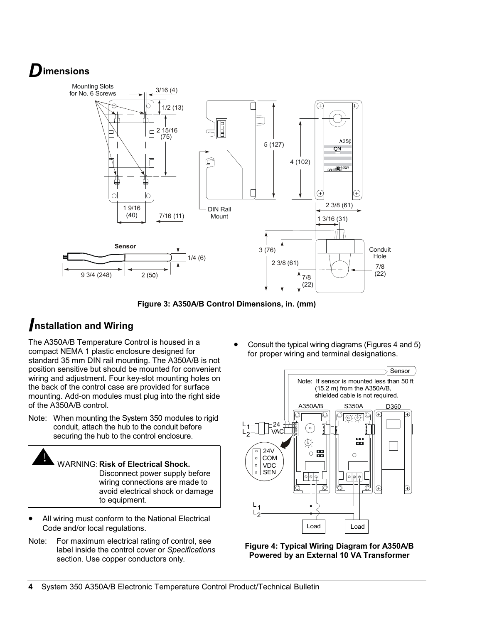## *D***imensions**



**Figure 3: A350A/B Control Dimensions, in. (mm)**

### *I***nstallation and Wiring**

The A350A/B Temperature Control is housed in a compact NEMA 1 plastic enclosure designed for standard 35 mm DIN rail mounting. The A350A/B is not position sensitive but should be mounted for convenient wiring and adjustment. Four key-slot mounting holes on the back of the control case are provided for surface mounting. Add-on modules must plug into the right side of the A350A/B control.

Note: When mounting the System 350 modules to rigid conduit, attach the hub to the conduit before securing the hub to the control enclosure.



- All wiring must conform to the National Electrical Code and/or local regulations.
- Note: For maximum electrical rating of control, see label inside the control cover or *Specifications* section. Use copper conductors only.

• Consult the typical wiring diagrams (Figures 4 and 5) for proper wiring and terminal designations.



**Figure 4: Typical Wiring Diagram for A350A/B Powered by an External 10 VA Transformer**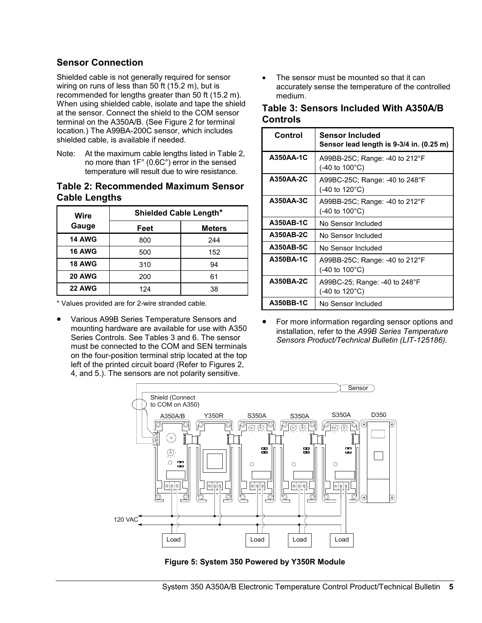#### **Sensor Connection**

Shielded cable is not generally required for sensor wiring on runs of less than 50 ft (15.2 m), but is recommended for lengths greater than 50 ft (15.2 m). When using shielded cable, isolate and tape the shield at the sensor. Connect the shield to the COM sensor terminal on the A350A/B. (See Figure 2 for terminal location.) The A99BA-200C sensor, which includes shielded cable, is available if needed.

Note: At the maximum cable lengths listed in Table 2, no more than 1F° (0.6C°) error in the sensed temperature will result due to wire resistance.

#### **Table 2: Recommended Maximum Sensor Cable Lengths**

| Wire          | <b>Shielded Cable Length*</b> |               |  |
|---------------|-------------------------------|---------------|--|
| Gauge         | Feet                          | <b>Meters</b> |  |
| <b>14 AWG</b> | 800                           | 244           |  |
| <b>16 AWG</b> | 500                           | 152           |  |
| <b>18 AWG</b> | 310                           | 94            |  |
| <b>20 AWG</b> | 200                           | 61            |  |
| <b>22 AWG</b> | 124                           | 38            |  |

\* Values provided are for 2-wire stranded cable.

• Various A99B Series Temperature Sensors and mounting hardware are available for use with A350 Series Controls. See Tables 3 and 6. The sensor must be connected to the COM and SEN terminals on the four-position terminal strip located at the top left of the printed circuit board (Refer to Figures 2, 4, and 5.). The sensors are not polarity sensitive.

The sensor must be mounted so that it can accurately sense the temperature of the controlled medium.

#### **Table 3: Sensors Included With A350A/B Controls**

| Control   | Sensor Included<br>Sensor lead length is 9-3/4 in. (0.25 m)                |
|-----------|----------------------------------------------------------------------------|
| A350AA-1C | A99BB-25C; Range: -40 to 212°F<br>$(-40 \text{ to } 100^{\circ} \text{C})$ |
| A350AA-2C | A99BC-25C; Range: -40 to 248°F<br>$(-40 \text{ to } 120^{\circ} \text{C})$ |
| A350AA-3C | A99BB-25C; Range: -40 to 212°F<br>$(-40 \text{ to } 100^{\circ} \text{C})$ |
| A350AB-1C | No Sensor Included                                                         |
| A350AB-2C | No Sensor Included                                                         |
| A350AB-5C | No Sensor Included                                                         |
| A350BA-1C | A99BB-25C; Range: -40 to 212°F<br>$(-40 \text{ to } 100^{\circ} \text{C})$ |
| A350BA-2C | A99BC-25; Range: -40 to 248°F<br>(-40 to 120°C)                            |
| A350BB-1C | No Sensor Included                                                         |

• For more information regarding sensor options and installation, refer to the *A99B Series Temperature Sensors Product/Technical Bulletin (LIT-125186).*



**Figure 5: System 350 Powered by Y350R Module**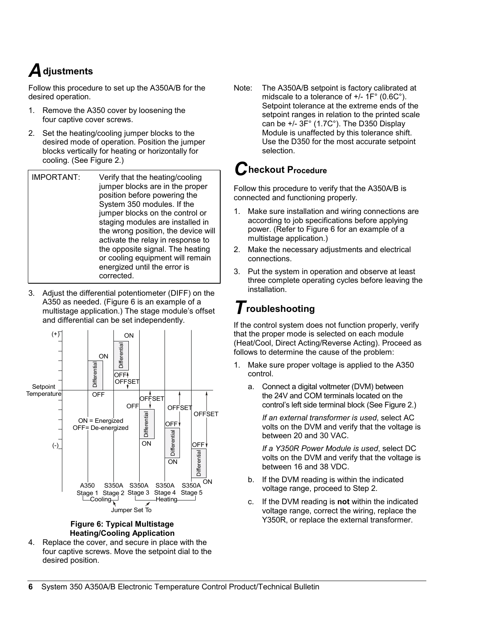# *A***djustments**

Follow this procedure to set up the A350A/B for the desired operation.

- 1. Remove the A350 cover by loosening the four captive cover screws.
- 2. Set the heating/cooling jumper blocks to the desired mode of operation. Position the jumper blocks vertically for heating or horizontally for cooling. (See Figure 2.)

| IMPORTANT: | Verify that the heating/cooling<br>jumper blocks are in the proper<br>position before powering the<br>System 350 modules. If the<br>jumper blocks on the control or<br>staging modules are installed in<br>the wrong position, the device will<br>activate the relay in response to<br>the opposite signal. The heating<br>or cooling equipment will remain<br>energized until the error is<br>corrected. |
|------------|-----------------------------------------------------------------------------------------------------------------------------------------------------------------------------------------------------------------------------------------------------------------------------------------------------------------------------------------------------------------------------------------------------------|
|            |                                                                                                                                                                                                                                                                                                                                                                                                           |

3. Adjust the differential potentiometer (DIFF) on the A350 as needed. (Figure 6 is an example of a multistage application.) The stage module's offset and differential can be set independently.



#### **Figure 6: Typical Multistage Heating/Cooling Application**

4. Replace the cover, and secure in place with the four captive screws. Move the setpoint dial to the desired position.

Note: The A350A/B setpoint is factory calibrated at midscale to a tolerance of +/- 1F° (0.6C°). Setpoint tolerance at the extreme ends of the setpoint ranges in relation to the printed scale can be +/- 3F° (1.7C°). The D350 Display Module is unaffected by this tolerance shift. Use the D350 for the most accurate setpoint selection.

### *C***heckout Procedure**

Follow this procedure to verify that the A350A/B is connected and functioning properly.

- 1. Make sure installation and wiring connections are according to job specifications before applying power. (Refer to Figure 6 for an example of a multistage application.)
- 2. Make the necessary adjustments and electrical connections.
- 3. Put the system in operation and observe at least three complete operating cycles before leaving the installation.

## *T***roubleshooting**

If the control system does not function properly, verify that the proper mode is selected on each module (Heat/Cool, Direct Acting/Reverse Acting). Proceed as follows to determine the cause of the problem:

- 1. Make sure proper voltage is applied to the A350 control.
	- a. Connect a digital voltmeter (DVM) between the 24V and COM terminals located on the control's left side terminal block (See Figure 2.)

*If an external transformer is used*, select AC volts on the DVM and verify that the voltage is between 20 and 30 VAC.

*If a Y350R Power Module is used*, select DC volts on the DVM and verify that the voltage is between 16 and 38 VDC.

- b. If the DVM reading is within the indicated voltage range, proceed to Step 2.
- c. If the DVM reading is **not** within the indicated voltage range, correct the wiring, replace the Y350R, or replace the external transformer.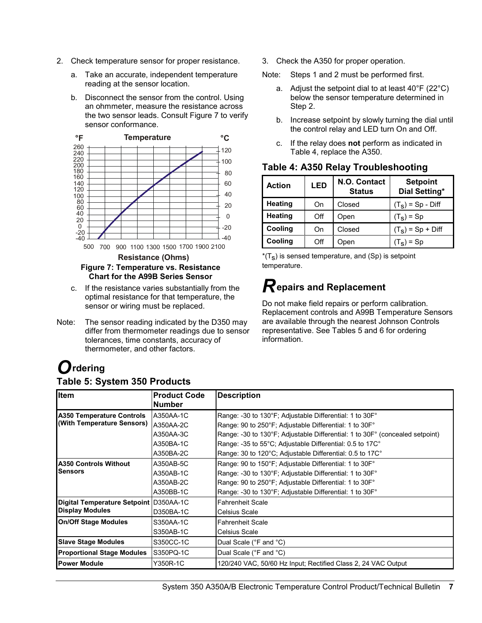- 2. Check temperature sensor for proper resistance.
	- a. Take an accurate, independent temperature reading at the sensor location.
	- b. Disconnect the sensor from the control. Using an ohmmeter, measure the resistance across the two sensor leads. Consult Figure 7 to verify sensor conformance.



#### **Figure 7: Temperature vs. Resistance Chart for the A99B Series Sensor**

- c. If the resistance varies substantially from the optimal resistance for that temperature, the sensor or wiring must be replaced.
- Note: The sensor reading indicated by the D350 may differ from thermometer readings due to sensor tolerances, time constants, accuracy of thermometer, and other factors.

# *O***rdering**

#### **Table 5: System 350 Products**

- 3. Check the A350 for proper operation.
- Note: Steps 1 and 2 must be performed first.
	- a. Adjust the setpoint dial to at least  $40^{\circ}$ F (22 $^{\circ}$ C) below the sensor temperature determined in Step 2.
	- b. Increase setpoint by slowly turning the dial until the control relay and LED turn On and Off.
	- c. If the relay does **not** perform as indicated in Table 4, replace the A350.

| <b>Action</b>  | LED | N.O. Contact<br><b>Status</b> | <b>Setpoint</b><br>Dial Setting* |
|----------------|-----|-------------------------------|----------------------------------|
| <b>Heating</b> | On  | Closed                        | $(TS)$ = Sp - Diff               |
| <b>Heating</b> | Off | Open                          | $(TS)$ = Sp                      |
| Cooling        | On  | Closed                        | $(TS)$ = Sp + Diff               |
| Cooling        | Off | Open                          | $(T_e)$ = Sp                     |

#### **Table 4: A350 Relay Troubleshooting**

 $*(T<sub>S</sub>)$  is sensed temperature, and (Sp) is setpoint temperature.

### *R***epairs and Replacement**

Do not make field repairs or perform calibration. Replacement controls and A99B Temperature Sensors are available through the nearest Johnson Controls representative. See Tables 5 and 6 for ordering information.

| Item                                   | <b>Product Code</b> | <b>Description</b>                                                           |
|----------------------------------------|---------------------|------------------------------------------------------------------------------|
|                                        | Number              |                                                                              |
| <b>A350 Temperature Controls</b>       | A350AA-1C           | Range: -30 to 130°F; Adjustable Differential: 1 to 30F°                      |
| (With Temperature Sensors)             | A350AA-2C           | Range: 90 to 250°F; Adjustable Differential: 1 to 30F°                       |
|                                        | A350AA-3C           | Range: -30 to 130°F; Adjustable Differential: 1 to 30F° (concealed setpoint) |
|                                        | A350BA-1C           | Range: -35 to 55°C; Adjustable Differential: 0.5 to 17C°                     |
|                                        | A350BA-2C           | Range: 30 to 120°C; Adjustable Differential: 0.5 to 17C°                     |
| <b>A350 Controls Without</b>           | A350AB-5C           | Range: 90 to 150°F; Adjustable Differential: 1 to 30F°                       |
| Sensors                                | A350AB-1C           | Range: -30 to 130°F; Adjustable Differential: 1 to 30F°                      |
|                                        | A350AB-2C           | Range: 90 to 250°F; Adjustable Differential: 1 to 30F°                       |
|                                        | A350BB-1C           | Range: -30 to 130°F; Adjustable Differential: 1 to 30F°                      |
| Digital Temperature Setpoint D350AA-1C |                     | <b>Fahrenheit Scale</b>                                                      |
| <b>Display Modules</b>                 | D350BA-1C           | Celsius Scale                                                                |
| <b>On/Off Stage Modules</b>            | S350AA-1C           | <b>Fahrenheit Scale</b>                                                      |
|                                        | S350AB-1C           | <b>Celsius Scale</b>                                                         |
| <b>Slave Stage Modules</b>             | S350CC-1C           | Dual Scale (°F and °C)                                                       |
| <b>Proportional Stage Modules</b>      | S350PQ-1C           | Dual Scale (°F and °C)                                                       |
| <b>Power Module</b>                    | Y350R-1C            | 120/240 VAC, 50/60 Hz Input; Rectified Class 2, 24 VAC Output                |